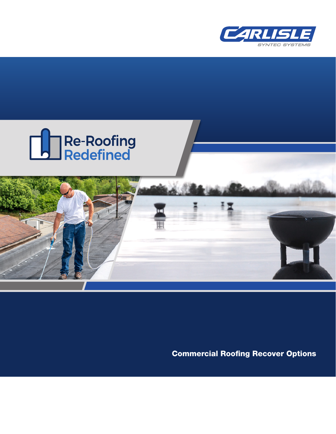





Commercial Roofing Recover Options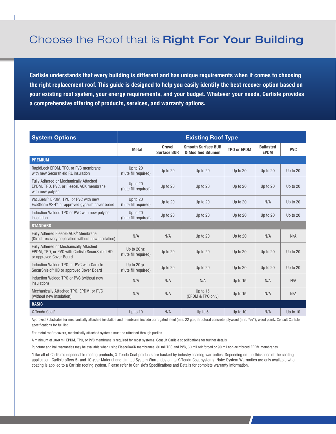## Choose the Roof that is Right For Your Building

**Carlisle understands that every building is different and has unique requirements when it comes to choosing the right replacement roof. This guide is designed to help you easily identify the best recover option based on your existing roof system, your energy requirements, and your budget. Whatever your needs, Carlisle provides a comprehensive offering of products, services, and warranty options.**

| <b>System Options</b>                                                                                               | <b>Existing Roof Type</b>             |                              |                                                 |                    |                                 |            |
|---------------------------------------------------------------------------------------------------------------------|---------------------------------------|------------------------------|-------------------------------------------------|--------------------|---------------------------------|------------|
|                                                                                                                     | <b>Metal</b>                          | Gravel<br><b>Surface BUR</b> | <b>Smooth Surface BUR</b><br>& Modified Bitumen | <b>TPO or EPDM</b> | <b>Ballasted</b><br><b>EPDM</b> | <b>PVC</b> |
| <b>PREMIUM</b>                                                                                                      |                                       |                              |                                                 |                    |                                 |            |
| RapidLock EPDM, TPO, or PVC membrane<br>with new Securshield RL insulation                                          | Up to 20<br>(flute fill required)     | Up to 20                     | Up to 20                                        | Up to 20           | Up to 20                        | Up to 20   |
| Fully Adhered or Mechanically Attached<br>EPDM, TPO, PVC, or FleeceBACK membrane<br>with new polyiso                | Up to 20<br>(flute fill required)     | Up to 20                     | Up to 20                                        | Up to 20           | Up to 20                        | Up to 20   |
| VacuSeal™ EPDM, TPO, or PVC with new<br>EcoStorm VSH™ or approved gypsum cover board                                | Up to 20<br>(flute fill required)     | Up to 20                     | Up to 20                                        | Up to 20           | N/A                             | Up to 20   |
| Induction Welded TPO or PVC with new polyiso<br>insulation                                                          | Up to 20<br>(flute fill required)     | Up to 20                     | Up to 20                                        | Up to 20           | Up to 20                        | Up to 20   |
| <b>STANDARD</b>                                                                                                     |                                       |                              |                                                 |                    |                                 |            |
| Fully Adhered FleeceBACK <sup>®</sup> Membrane<br>(Direct recovery application without new insulation)              | N/A                                   | N/A                          | Up to 20                                        | Up to 20           | N/A                             | N/A        |
| Fully Adhered or Mechanically Attached<br>EPDM, TPO, or PVC with Carlisle SecurShield HD<br>or approved Cover Board | Up to 20 yr.<br>(flute fill required) | Up to 20                     | Up to 20                                        | Up to 20           | Up to 20                        | Up to 20   |
| Induction Welded TPO, or PVC with Carlisle<br>SecurShield <sup>®</sup> HD or approved Cover Board                   | Up to 20 yr.<br>(flute fill required) | Up to 20                     | Up to 20                                        | Up to 20           | Up to 20                        | Up to 20   |
| Induction Welded TPO or PVC (without new<br>insulation)                                                             | N/A                                   | N/A                          | N/A                                             | Up to 15           | N/A                             | N/A        |
| Mechanically Attached TPO, EPDM, or PVC<br>(without new insulation)                                                 | N/A                                   | N/A                          | Up to 15<br>(EPDM & TPO only)                   | Up to 15           | N/A                             | N/A        |
| <b>BASIC</b>                                                                                                        |                                       |                              |                                                 |                    |                                 |            |
| X-Tenda Coat*                                                                                                       | Up to 10                              | N/A                          | Up to 5                                         | Up to 10           | N/A                             | Up to 10   |

Approved Substrates for mechanically attached insulation and membrane include corrugated steel (min. 22 ga), structural concrete, plywood (min. <sup>15</sup>/<sub>2</sub>"), wood plank. Consult Carlisle specifications for full list

For metal roof recovers, mechnically attached systems must be attached through purlins

A minimum of .060 mil EPDM, TPO, or PVC membrane is required for most systems. Consult Carlisle specifications for further details

Puncture and hail warranties may be available when using FleeceBACK membranes, 80 mil TPO and PVC, 60 mil reinforced or 90 mil non-reinforced EPDM membranes.

\*Like all of Carlisle's dependable roofing products, X-Tenda Coat products are backed by industry-leading warranties. Depending on the thickness of the coating application, Carlisle offers 5- and 10-year Material and Limited System Warranties on its X-Tenda Coat systems. Note: System Warranties are only available when coating is applied to a Carlisle roofing system. Please refer to Carlisle's Specifications and Details for complete warranty information.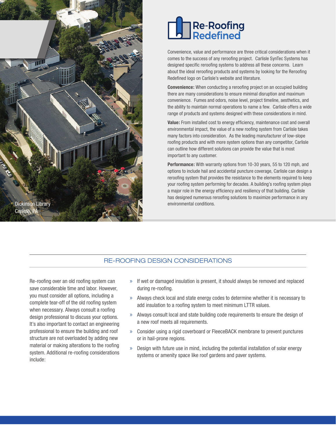



Convenience, value and performance are three critical considerations when it comes to the success of any reroofing project. Carlisle SynTec Systems has designed specific reroofing systems to address all these concerns. Learn about the ideal reroofing products and systems by looking for the Reroofing Redefined logo on Carlisle's website and literature.

**Convenience:** When conducting a reroofing project on an occupied building there are many considerations to ensure minimal disruption and maximum convenience. Fumes and odors, noise level, project timeline, aesthetics, and the ability to maintain normal operations to name a few. Carlisle offers a wide range of products and systems designed with these considerations in mind.

**Value:** From installed cost to energy efficiency, maintenance cost and overall environmental impact, the value of a new roofing system from Carlisle takes many factors into consideration. As the leading manufacturer of low-slope roofing products and with more system options than any competitor, Carlisle can outline how different solutions can provide the value that is most important to any customer.

**Performance:** With warranty options from 10-30 years, 55 to 120 mph, and options to include hail and accidental puncture coverage, Carlisle can design a reroofing system that provides the resistance to the elements required to keep your roofing system performing for decades. A building's roofing system plays a major role in the energy efficiency and resiliency of that building. Carlisle has designed numerous reroofing solutions to maximize performance in any environmental conditions.

## RE-ROOFING DESIGN CONSIDERATIONS

Re-roofing over an old roofing system can save considerable time and labor. However, you must consider all options, including a complete tear-off of the old roofing system when necessary. Always consult a roofing design professional to discuss your options. It's also important to contact an engineering professional to ensure the building and roof structure are not overloaded by adding new material or making alterations to the roofing system. Additional re-roofing considerations include:

- » If wet or damaged insulation is present, it should always be removed and replaced during re-roofing.
- » Always check local and state energy codes to determine whether it is necessary to add insulation to a roofing system to meet minimum LTTR values.
- » Always consult local and state building code requirements to ensure the design of a new roof meets all requirements.
- » Consider using a rigid coverboard or FleeceBACK membrane to prevent punctures or in hail-prone regions.
- » Design with future use in mind, including the potential installation of solar energy systems or amenity space like roof gardens and paver systems.